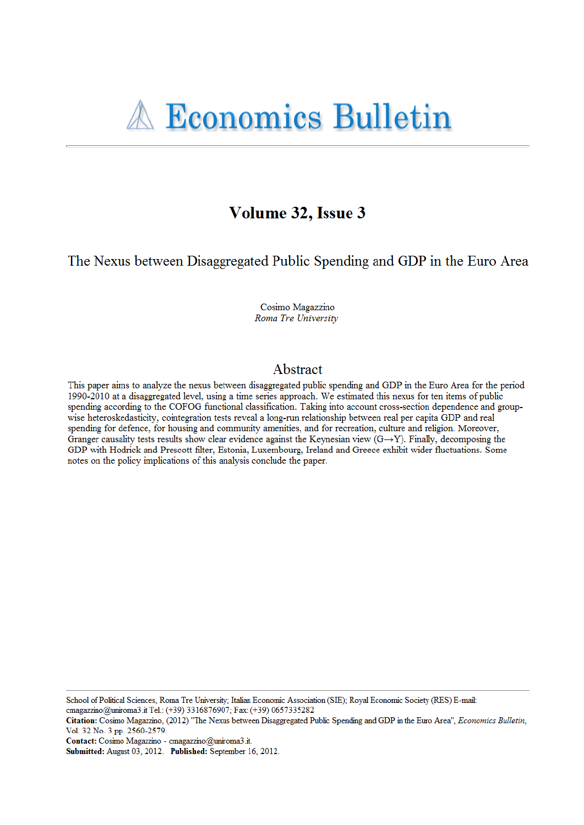# Volume 32, Issue 3

The Nexus between Disaggregated Public Spending and GDP in the Euro Area

Cosimo Magazzino Roma Tre University

# Abstract

This paper aims to analyze the nexus between disaggregated public spending and GDP in the Euro Area for the period 1990-2010 at a disaggregated level, using a time series approach. We estimated this nexus for ten items of public spending according to the COFOG functional classification. Taking into account cross-section dependence and groupwise heteroskedasticity, cointegration tests reveal a long-run relationship between real per capita GDP and real spending for defence, for housing and community amenities, and for recreation, culture and religion. Moreover, Granger causality tests results show clear evidence against the Keynesian view  $(G \rightarrow Y)$ . Finally, decomposing the GDP with Hodrick and Prescott filter, Estonia, Luxembourg, Ireland and Greece exhibit wider fluctuations. Some notes on the policy implications of this analysis conclude the paper.

School of Political Sciences, Roma Tre University; Italian Economic Association (SIE); Royal Economic Society (RES) E-mail: cmagazzino@uniroma3.it Tel.: (+39) 3316876907; Fax: (+39) 0657335282

Contact: Cosimo Magazzino - cmagazzino@uniroma3.it.

Citation: Cosimo Magazzino, (2012) "The Nexus between Disaggregated Public Spending and GDP in the Euro Area", Economics Bulletin, Vol. 32 No. 3 pp. 2560-2579.

Submitted: August 03, 2012. Published: September 16, 2012.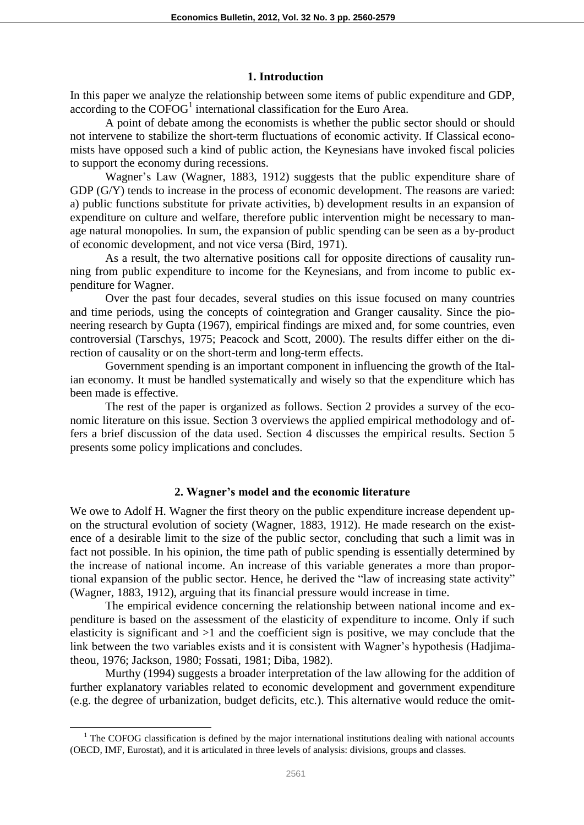#### **1. Introduction**

In this paper we analyze the relationship between some items of public expenditure and GDP,  $\arccos$  according to the COFOG<sup>1</sup> international classification for the Euro Area.

A point of debate among the economists is whether the public sector should or should not intervene to stabilize the short-term fluctuations of economic activity. If Classical economists have opposed such a kind of public action, the Keynesians have invoked fiscal policies to support the economy during recessions.

Wagner's Law (Wagner, 1883, 1912) suggests that the public expenditure share of GDP (G/Y) tends to increase in the process of economic development. The reasons are varied: a) public functions substitute for private activities, b) development results in an expansion of expenditure on culture and welfare, therefore public intervention might be necessary to manage natural monopolies. In sum, the expansion of public spending can be seen as a by-product of economic development, and not vice versa (Bird, 1971).

As a result, the two alternative positions call for opposite directions of causality running from public expenditure to income for the Keynesians, and from income to public expenditure for Wagner.

Over the past four decades, several studies on this issue focused on many countries and time periods, using the concepts of cointegration and Granger causality. Since the pioneering research by Gupta (1967), empirical findings are mixed and, for some countries, even controversial (Tarschys, 1975; Peacock and Scott, 2000). The results differ either on the direction of causality or on the short-term and long-term effects.

Government spending is an important component in influencing the growth of the Italian economy. It must be handled systematically and wisely so that the expenditure which has been made is effective.

The rest of the paper is organized as follows. Section 2 provides a survey of the economic literature on this issue. Section 3 overviews the applied empirical methodology and offers a brief discussion of the data used. Section 4 discusses the empirical results. Section 5 presents some policy implications and concludes.

#### **2. Wagner's model and the economic literature**

We owe to Adolf H. Wagner the first theory on the public expenditure increase dependent upon the structural evolution of society (Wagner, 1883, 1912). He made research on the existence of a desirable limit to the size of the public sector, concluding that such a limit was in fact not possible. In his opinion, the time path of public spending is essentially determined by the increase of national income. An increase of this variable generates a more than proportional expansion of the public sector. Hence, he derived the "law of increasing state activity" (Wagner, 1883, 1912), arguing that its financial pressure would increase in time.

The empirical evidence concerning the relationship between national income and expenditure is based on the assessment of the elasticity of expenditure to income. Only if such elasticity is significant and >1 and the coefficient sign is positive, we may conclude that the link between the two variables exists and it is consistent with Wagner's hypothesis (Hadjimatheou, 1976; Jackson, 1980; Fossati, 1981; Diba, 1982).

Murthy (1994) suggests a broader interpretation of the law allowing for the addition of further explanatory variables related to economic development and government expenditure (e.g. the degree of urbanization, budget deficits, etc.). This alternative would reduce the omit-

 $\overline{a}$ 

<sup>&</sup>lt;sup>1</sup> The COFOG classification is defined by the major international institutions dealing with national accounts (OECD, IMF, Eurostat), and it is articulated in three levels of analysis: divisions, groups and classes.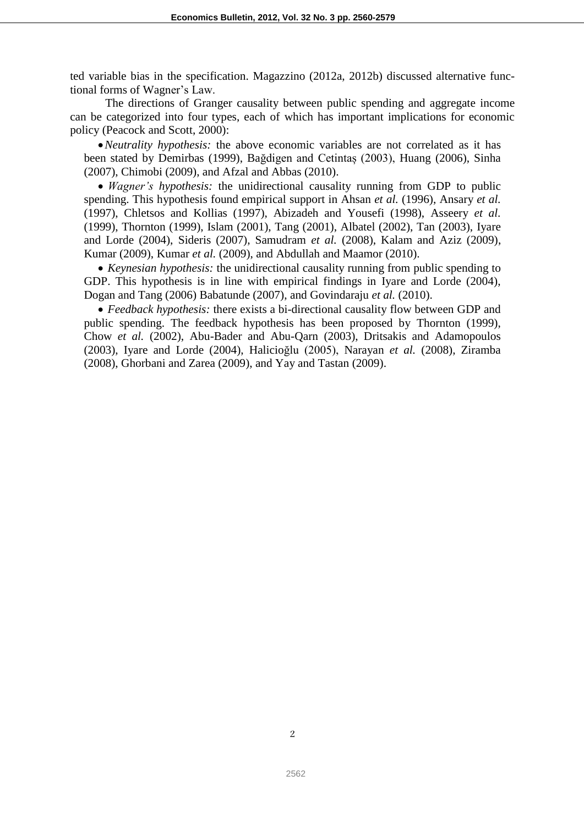ted variable bias in the specification. Magazzino (2012a, 2012b) discussed alternative functional forms of Wagner's Law.

The directions of Granger causality between public spending and aggregate income can be categorized into four types, each of which has important implications for economic policy (Peacock and Scott, 2000):

*Neutrality hypothesis:* the above economic variables are not correlated as it has been stated by Demirbas (1999), Bağdigen and Cetintaș (2003), Huang (2006), Sinha (2007), Chimobi (2009), and Afzal and Abbas (2010).

 *Wagner's hypothesis:* the unidirectional causality running from GDP to public spending. This hypothesis found empirical support in Ahsan *et al.* (1996), Ansary *et al.*  (1997), Chletsos and Kollias (1997), Abizadeh and Yousefi (1998), Asseery *et al.*  (1999), Thornton (1999), Islam (2001), Tang (2001), Albatel (2002), Tan (2003), Iyare and Lorde (2004), Sideris (2007), Samudram *et al.* (2008), Kalam and Aziz (2009), Kumar (2009), Kumar *et al.* (2009), and Abdullah and Maamor (2010).

 *Keynesian hypothesis:* the unidirectional causality running from public spending to GDP. This hypothesis is in line with empirical findings in Iyare and Lorde (2004), Dogan and Tang (2006) Babatunde (2007), and Govindaraju *et al.* (2010).

 *Feedback hypothesis:* there exists a bi-directional causality flow between GDP and public spending. The feedback hypothesis has been proposed by Thornton (1999), Chow *et al.* (2002), Abu-Bader and Abu-Qarn (2003), Dritsakis and Adamopoulos (2003), Iyare and Lorde (2004), Halicioğlu (2005), Narayan *et al.* (2008), Ziramba (2008), Ghorbani and Zarea (2009), and Yay and Tastan (2009).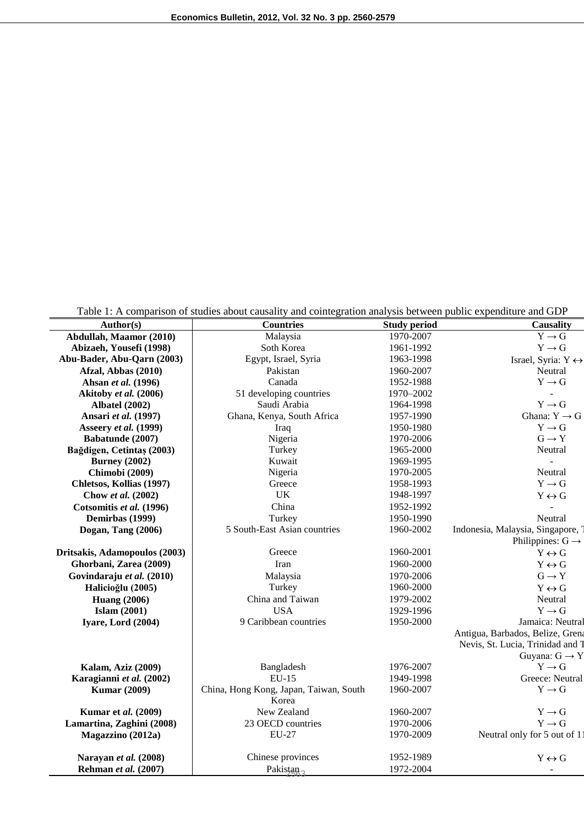Table 1: A comparison of studies about causality and cointegration analysis between public expenditure and GDP

|                                               | Table 1. A comparison of studies about causality and connegration analysis between public expenditure and ODT |                     |                                    |
|-----------------------------------------------|---------------------------------------------------------------------------------------------------------------|---------------------|------------------------------------|
| Author(s)                                     | <b>Countries</b>                                                                                              | <b>Study period</b> | Causality                          |
| Abdullah, Maamor (2010)                       | Malaysia                                                                                                      | 1970-2007           | $Y \rightarrow G$                  |
| Abizaeh, Yousefi (1998)                       | Soth Korea                                                                                                    | 1961-1992           | $Y \rightarrow G$                  |
| Abu-Bader, Abu-Qarn (2003)                    | Egypt, Israel, Syria                                                                                          | 1963-1998           | Israel, Syria: $Y \leftrightarrow$ |
| Afzal, Abbas (2010)                           | Pakistan                                                                                                      | 1960-2007           | Neutral                            |
| Ahsan et al. (1996)                           | Canada                                                                                                        | 1952-1988           | $Y \rightarrow G$                  |
| Akitoby et al. (2006)                         | 51 developing countries                                                                                       | 1970-2002           |                                    |
| <b>Albatel</b> (2002)                         | Saudi Arabia                                                                                                  | 1964-1998           | $Y \rightarrow G$                  |
| Ansari et al. (1997)                          | Ghana, Kenya, South Africa                                                                                    | 1957-1990           | Ghana: $Y \rightarrow G$           |
| Asseery et al. (1999)                         | Iraq                                                                                                          | 1950-1980           | $Y \rightarrow G$                  |
| Babatunde (2007)                              | Nigeria                                                                                                       | 1970-2006           | $G \rightarrow Y$                  |
| Bağdigen, Cetintaş (2003)                     | Turkey                                                                                                        | 1965-2000           | Neutral                            |
| <b>Burney</b> (2002)                          | Kuwait                                                                                                        | 1969-1995           | $\overline{a}$                     |
| Chimobi (2009)                                | Nigeria                                                                                                       | 1970-2005           | Neutral                            |
| Chletsos, Kollias (1997)                      | Greece                                                                                                        | 1958-1993           | $Y \rightarrow G$                  |
| Chow et al. (2002)                            | UK                                                                                                            | 1948-1997           | $Y \leftrightarrow G$              |
| Cotsomitis et al. (1996)                      | China                                                                                                         | 1952-1992           |                                    |
| Demirbas (1999)                               | Turkey                                                                                                        | 1950-1990           | Neutral                            |
| Dogan, Tang (2006)                            | 5 South-East Asian countries                                                                                  | 1960-2002           | Indonesia, Malaysia, Singapore,    |
|                                               |                                                                                                               |                     | Philippines: $G \rightarrow$       |
| Dritsakis, Adamopoulos (2003)                 | Greece                                                                                                        | 1960-2001           | $Y \leftrightarrow G$              |
| Ghorbani, Zarea (2009)                        | Iran                                                                                                          | 1960-2000           | $Y \leftrightarrow G$              |
| Govindaraju et al. (2010)                     | Malaysia                                                                                                      | 1970-2006           | $G \rightarrow Y$                  |
| Halicioğlu (2005)                             | Turkey                                                                                                        | 1960-2000           | $Y \leftrightarrow G$              |
| <b>Huang (2006)</b>                           | China and Taiwan                                                                                              | 1979-2002           | Neutral                            |
| Islam $(2001)$                                | <b>USA</b>                                                                                                    | 1929-1996           | $Y \rightarrow G$                  |
| Iyare, Lord (2004)                            | 9 Caribbean countries                                                                                         | 1950-2000           | Jamaica: Neutral                   |
|                                               |                                                                                                               |                     | Antigua, Barbados, Belize, Grena   |
|                                               |                                                                                                               |                     | Nevis, St. Lucia, Trinidad and T   |
|                                               |                                                                                                               |                     | Guyana: $G \rightarrow Y$          |
| <b>Kalam, Aziz (2009)</b>                     | Bangladesh                                                                                                    | 1976-2007           | $Y \rightarrow G$                  |
| Karagianni et al. (2002)                      | EU-15                                                                                                         | 1949-1998           | Greece: Neutral                    |
| <b>Kumar</b> (2009)                           | China, Hong Kong, Japan, Taiwan, South                                                                        | 1960-2007           | $Y \rightarrow G$                  |
|                                               | Korea                                                                                                         |                     |                                    |
| <b>Kumar et al.</b> (2009)                    | New Zealand                                                                                                   | 1960-2007           | $Y \rightarrow G$                  |
| Lamartina, Zaghini (2008)                     | 23 OECD countries                                                                                             | 1970-2006           | $Y \rightarrow G$                  |
| Magazzino (2012a)                             | <b>EU-27</b>                                                                                                  | 1970-2009           | Neutral only for 5 out of 11       |
|                                               | Chinese provinces                                                                                             | 1952-1989           |                                    |
| Narayan et al. (2008)<br>Rehman et al. (2007) |                                                                                                               | 1972-2004           | $Y \leftrightarrow G$              |
|                                               | Pakistan <sub>2</sub>                                                                                         |                     | $\blacksquare$                     |

j.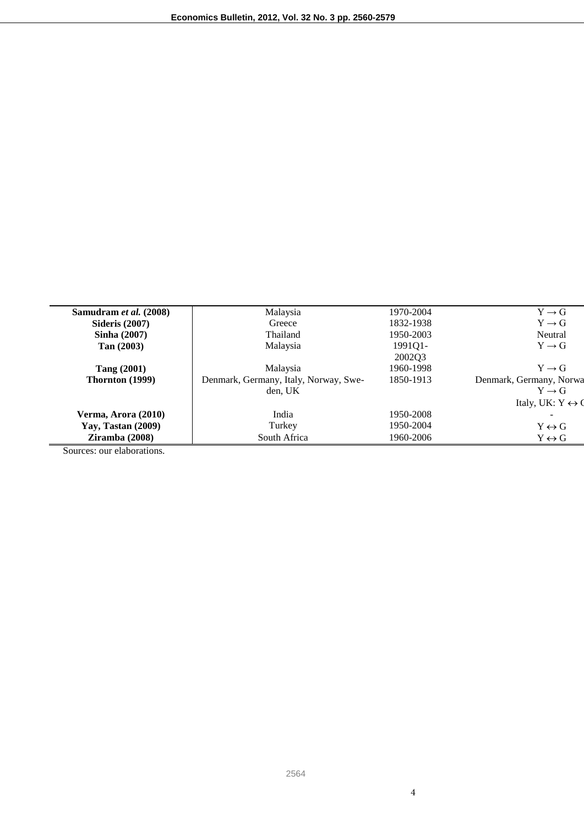| Samudram et al. (2008)                                        | Malaysia                              | 1970-2004 | $Y \rightarrow G$                |
|---------------------------------------------------------------|---------------------------------------|-----------|----------------------------------|
| <b>Sideris</b> (2007)                                         | Greece                                | 1832-1938 | $Y \rightarrow G$                |
| Sinha $(2007)$                                                | Thailand                              | 1950-2003 | Neutral                          |
| Tan (2003)                                                    | Malaysia                              | 1991Q1-   | $Y \rightarrow G$                |
|                                                               |                                       | 200203    |                                  |
| <b>Tang (2001)</b>                                            | Malaysia                              | 1960-1998 | $Y \rightarrow G$                |
| Thornton (1999)                                               | Denmark, Germany, Italy, Norway, Swe- | 1850-1913 | Denmark, Germany, Norwa          |
|                                                               | den, UK                               |           | $Y \rightarrow G$                |
|                                                               |                                       |           | Italy, UK: $Y \leftrightarrow Q$ |
| Verma, Arora (2010)                                           | India                                 | 1950-2008 |                                  |
| <b>Yay, Tastan (2009)</b>                                     | Turkey                                | 1950-2004 | $Y \leftrightarrow G$            |
| Ziramba(2008)                                                 | South Africa                          | 1960-2006 | $Y \leftrightarrow G$            |
| $\sim$<br>$\mathbf{1}$ $\mathbf{1}$ $\mathbf{1}$ $\mathbf{1}$ |                                       |           |                                  |

Sources: our elaborations.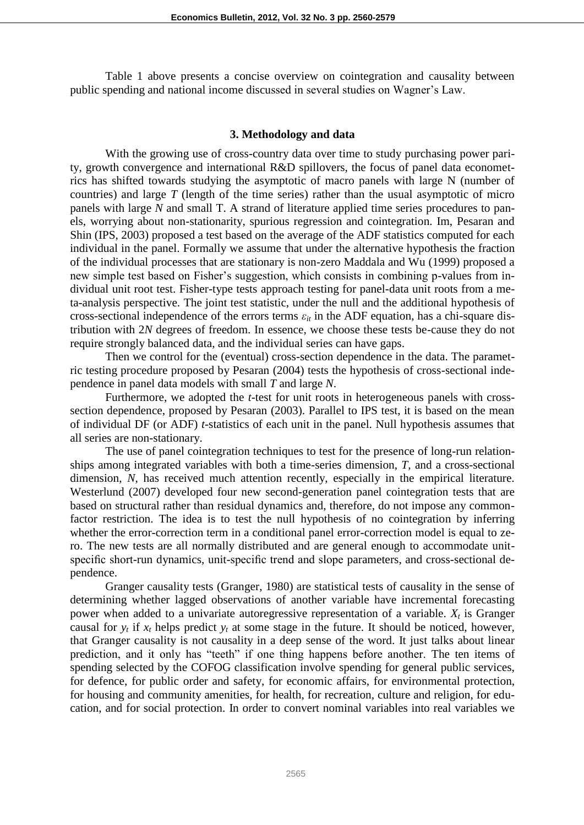Table 1 above presents a concise overview on cointegration and causality between public spending and national income discussed in several studies on Wagner's Law.

#### **3. Methodology and data**

With the growing use of cross-country data over time to study purchasing power parity, growth convergence and international R&D spillovers, the focus of panel data econometrics has shifted towards studying the asymptotic of macro panels with large N (number of countries) and large *T* (length of the time series) rather than the usual asymptotic of micro panels with large *N* and small T. A strand of literature applied time series procedures to panels, worrying about non-stationarity, spurious regression and cointegration. Im, Pesaran and Shin (IPS, 2003) proposed a test based on the average of the ADF statistics computed for each individual in the panel. Formally we assume that under the alternative hypothesis the fraction of the individual processes that are stationary is non-zero Maddala and Wu (1999) proposed a new simple test based on Fisher's suggestion, which consists in combining p-values from individual unit root test. Fisher-type tests approach testing for panel-data unit roots from a meta-analysis perspective. The joint test statistic, under the null and the additional hypothesis of cross-sectional independence of the errors terms  $\varepsilon_{it}$  in the ADF equation, has a chi-square distribution with 2*N* degrees of freedom. In essence, we choose these tests be-cause they do not require strongly balanced data, and the individual series can have gaps.

Then we control for the (eventual) cross-section dependence in the data. The parametric testing procedure proposed by Pesaran (2004) tests the hypothesis of cross-sectional independence in panel data models with small *T* and large *N*.

Furthermore, we adopted the *t*-test for unit roots in heterogeneous panels with crosssection dependence, proposed by Pesaran (2003). Parallel to IPS test, it is based on the mean of individual DF (or ADF) *t*-statistics of each unit in the panel. Null hypothesis assumes that all series are non-stationary.

The use of panel cointegration techniques to test for the presence of long-run relationships among integrated variables with both a time-series dimension, *T*, and a cross-sectional dimension, *N*, has received much attention recently, especially in the empirical literature. Westerlund (2007) developed four new second-generation panel cointegration tests that are based on structural rather than residual dynamics and, therefore, do not impose any commonfactor restriction. The idea is to test the null hypothesis of no cointegration by inferring whether the error-correction term in a conditional panel error-correction model is equal to zero. The new tests are all normally distributed and are general enough to accommodate unitspecific short-run dynamics, unit-specific trend and slope parameters, and cross-sectional dependence.

Granger causality tests (Granger, 1980) are statistical tests of causality in the sense of determining whether lagged observations of another variable have incremental forecasting power when added to a univariate autoregressive representation of a variable.  $X_t$  is Granger causal for  $y_t$  if  $x_t$  helps predict  $y_t$  at some stage in the future. It should be noticed, however, that Granger causality is not causality in a deep sense of the word. It just talks about linear prediction, and it only has "teeth" if one thing happens before another. The ten items of spending selected by the COFOG classification involve spending for general public services, for defence, for public order and safety, for economic affairs, for environmental protection, for housing and community amenities, for health, for recreation, culture and religion, for education, and for social protection. In order to convert nominal variables into real variables we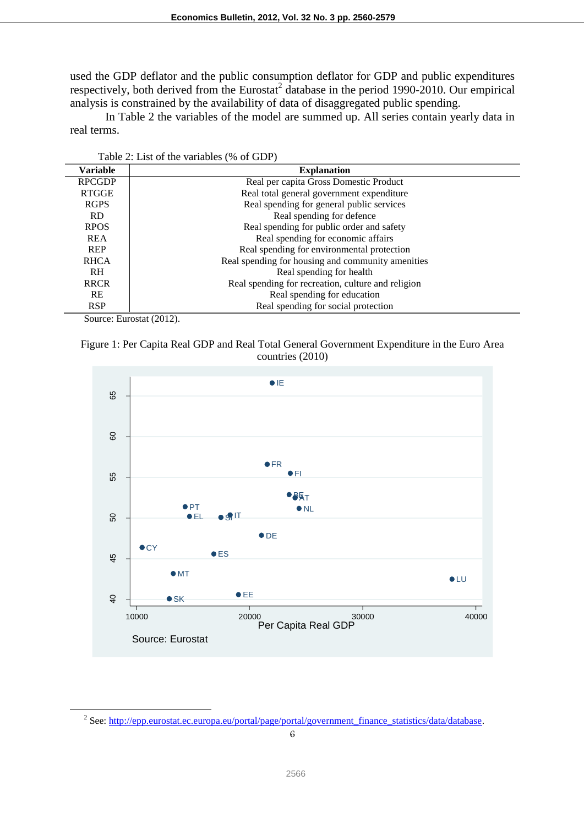used the GDP deflator and the public consumption deflator for GDP and public expenditures respectively, both derived from the Eurostat<sup>2</sup> database in the period 1990-2010. Our empirical analysis is constrained by the availability of data of disaggregated public spending.

In Table 2 the variables of the model are summed up. All series contain yearly data in real terms.

| <b>Variable</b> | <b>Explanation</b>                                 |
|-----------------|----------------------------------------------------|
| <b>RPCGDP</b>   | Real per capita Gross Domestic Product             |
| <b>RTGGE</b>    | Real total general government expenditure          |
| <b>RGPS</b>     | Real spending for general public services          |
| RD.             | Real spending for defence                          |
| <b>RPOS</b>     | Real spending for public order and safety          |
| <b>REA</b>      | Real spending for economic affairs                 |
| <b>REP</b>      | Real spending for environmental protection         |
| <b>RHCA</b>     | Real spending for housing and community amenities  |
| RH.             | Real spending for health                           |
| <b>RRCR</b>     | Real spending for recreation, culture and religion |
| <b>RE</b>       | Real spending for education                        |
| <b>RSP</b>      | Real spending for social protection                |

| Table 2: List of the variables (% of GDP) |
|-------------------------------------------|
|-------------------------------------------|

Source: Eurostat (2012).

 $\overline{a}$ 





<sup>&</sup>lt;sup>2</sup> See: http://epp.eurostat.ec.europa.eu/portal/page/portal/government\_finance\_statistics/data/database.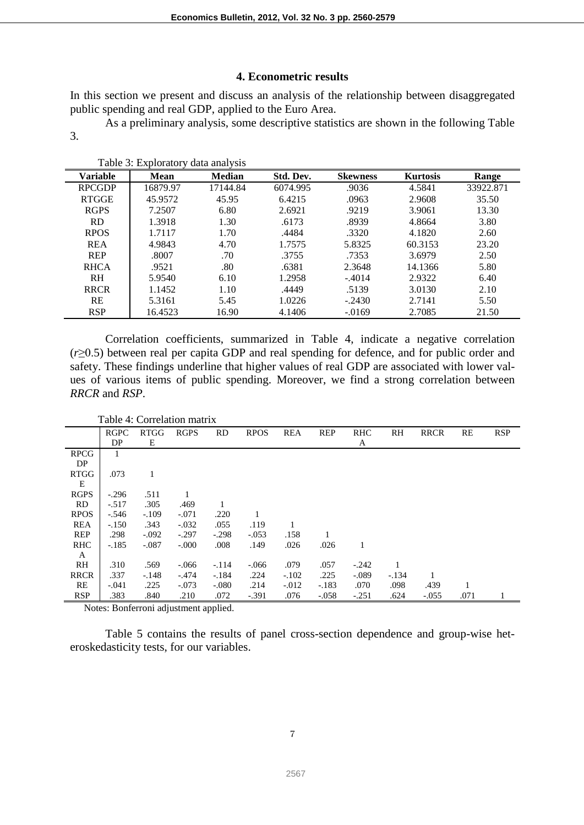## **4. Econometric results**

In this section we present and discuss an analysis of the relationship between disaggregated public spending and real GDP, applied to the Euro Area.

As a preliminary analysis, some descriptive statistics are shown in the following Table 3.

| Variable       | <b>Mean</b> | <b>Median</b> | Std. Dev. | <b>Skewness</b> | <b>Kurtosis</b> | Range     |
|----------------|-------------|---------------|-----------|-----------------|-----------------|-----------|
| <b>RPCGDP</b>  | 16879.97    | 17144.84      | 6074.995  | .9036           | 4.5841          | 33922.871 |
| <b>RTGGE</b>   | 45.9572     | 45.95         | 6.4215    | .0963           | 2.9608          | 35.50     |
| <b>RGPS</b>    | 7.2507      | 6.80          | 2.6921    | .9219           | 3.9061          | 13.30     |
| <b>RD</b>      | 1.3918      | 1.30          | .6173     | .8939           | 4.8664          | 3.80      |
| <b>RPOS</b>    | 1.7117      | 1.70          | .4484     | .3320           | 4.1820          | 2.60      |
| <b>REA</b>     | 4.9843      | 4.70          | 1.7575    | 5.8325          | 60.3153         | 23.20     |
| <b>REP</b>     | .8007       | .70           | .3755     | .7353           | 3.6979          | 2.50      |
| <b>RHCA</b>    | .9521       | .80           | .6381     | 2.3648          | 14.1366         | 5.80      |
| R <sub>H</sub> | 5.9540      | 6.10          | 1.2958    | $-.4014$        | 2.9322          | 6.40      |
| <b>RRCR</b>    | 1.1452      | 1.10          | .4449     | .5139           | 3.0130          | 2.10      |
| <b>RE</b>      | 5.3161      | 5.45          | 1.0226    | $-.2430$        | 2.7141          | 5.50      |
| <b>RSP</b>     | 16.4523     | 16.90         | 4.1406    | $-0.0169$       | 2.7085          | 21.50     |

Table 3: Exploratory data analysis

Correlation coefficients, summarized in Table 4, indicate a negative correlation (*r*≥0.5) between real per capita GDP and real spending for defence, and for public order and safety. These findings underline that higher values of real GDP are associated with lower values of various items of public spending. Moreover, we find a strong correlation between *RRCR* and *RSP*.

|             | Table 4: Correlation matrix |             |             |           |             |            |            |            |         |             |      |            |
|-------------|-----------------------------|-------------|-------------|-----------|-------------|------------|------------|------------|---------|-------------|------|------------|
|             | <b>RGPC</b>                 | <b>RTGG</b> | <b>RGPS</b> | <b>RD</b> | <b>RPOS</b> | <b>REA</b> | <b>REP</b> | <b>RHC</b> | RH      | <b>RRCR</b> | RE   | <b>RSP</b> |
|             | DP                          | Е           |             |           |             |            |            | A          |         |             |      |            |
| <b>RPCG</b> | 1                           |             |             |           |             |            |            |            |         |             |      |            |
| DP          |                             |             |             |           |             |            |            |            |         |             |      |            |
| <b>RTGG</b> | .073                        | 1           |             |           |             |            |            |            |         |             |      |            |
| E           |                             |             |             |           |             |            |            |            |         |             |      |            |
| <b>RGPS</b> | $-.296$                     | .511        |             |           |             |            |            |            |         |             |      |            |
| <b>RD</b>   | $-.517$                     | .305        | .469        |           |             |            |            |            |         |             |      |            |
| <b>RPOS</b> | $-.546$                     | $-.109$     | $-.071$     | .220      | 1           |            |            |            |         |             |      |            |
| <b>REA</b>  | $-.150$                     | .343        | $-.032$     | .055      | .119        |            |            |            |         |             |      |            |
| REP         | .298                        | $-.092$     | $-.297$     | $-.298$   | $-.053$     | .158       |            |            |         |             |      |            |
| <b>RHC</b>  | $-.185$                     | $-.087$     | $-0.000$    | .008      | .149        | .026       | .026       | 1          |         |             |      |            |
| A           |                             |             |             |           |             |            |            |            |         |             |      |            |
| RH          | .310                        | .569        | $-0.066$    | $-.114$   | $-.066$     | .079       | .057       | $-.242$    |         |             |      |            |
| <b>RRCR</b> | .337                        | $-.148$     | $-.474$     | $-.184$   | .224        | $-.102$    | .225       | $-.089$    | $-.134$ |             |      |            |
| RE          | $-.041$                     | .225        | $-.073$     | $-.080$   | .214        | $-.012$    | $-.183$    | .070       | .098    | .439        | 1    |            |
| <b>RSP</b>  | .383                        | .840        | .210        | .072      | $-.391$     | .076       | $-.058$    | $-.251$    | .624    | $-.055$     | .071 |            |

Notes: Bonferroni adjustment applied.

Table 5 contains the results of panel cross-section dependence and group-wise heteroskedasticity tests, for our variables.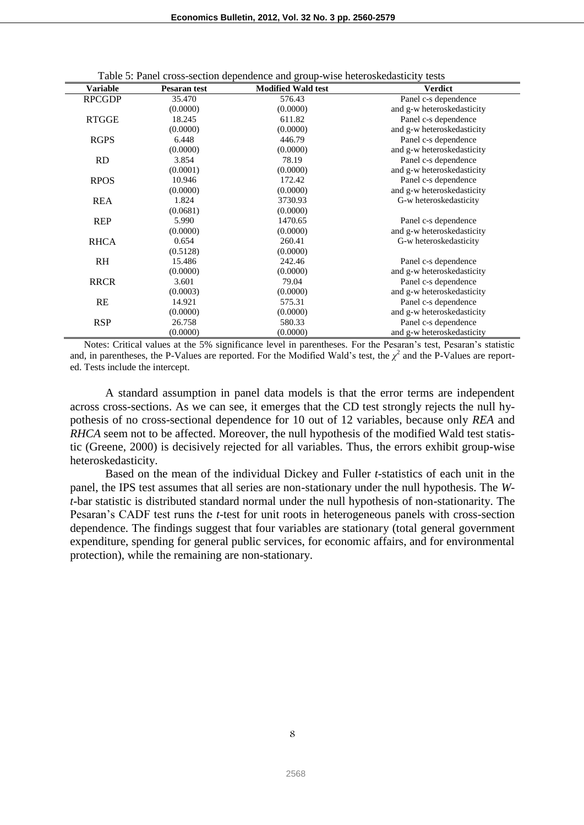|  |  | Table 5: Panel cross-section dependence and group-wise heteroskedasticity tests |  |
|--|--|---------------------------------------------------------------------------------|--|
|  |  |                                                                                 |  |

| <b>Variable</b> | Pesaran test | <b>Modified Wald test</b> | <b>Verdict</b>             |
|-----------------|--------------|---------------------------|----------------------------|
| <b>RPCGDP</b>   | 35.470       | 576.43                    | Panel c-s dependence       |
|                 | (0.0000)     | (0.0000)                  | and g-w heteroskedasticity |
| <b>RTGGE</b>    | 18.245       | 611.82                    | Panel c-s dependence       |
|                 | (0.0000)     | (0.0000)                  | and g-w heteroskedasticity |
| <b>RGPS</b>     | 6.448        | 446.79                    | Panel c-s dependence       |
|                 | (0.0000)     | (0.0000)                  | and g-w heteroskedasticity |
| <b>RD</b>       | 3.854        | 78.19                     | Panel c-s dependence       |
|                 | (0.0001)     | (0.0000)                  | and g-w heteroskedasticity |
| <b>RPOS</b>     | 10.946       | 172.42                    | Panel c-s dependence       |
|                 | (0.0000)     | (0.0000)                  | and g-w heteroskedasticity |
| <b>REA</b>      | 1.824        | 3730.93                   | G-w heteroskedasticity     |
|                 | (0.0681)     | (0.0000)                  |                            |
| <b>REP</b>      | 5.990        | 1470.65                   | Panel c-s dependence       |
|                 | (0.0000)     | (0.0000)                  | and g-w heteroskedasticity |
| <b>RHCA</b>     | 0.654        | 260.41                    | G-w heteroskedasticity     |
|                 | (0.5128)     | (0.0000)                  |                            |
| <b>RH</b>       | 15.486       | 242.46                    | Panel c-s dependence       |
|                 | (0.0000)     | (0.0000)                  | and g-w heteroskedasticity |
| <b>RRCR</b>     | 3.601        | 79.04                     | Panel c-s dependence       |
|                 | (0.0003)     | (0.0000)                  | and g-w heteroskedasticity |
| RE              | 14.921       | 575.31                    | Panel c-s dependence       |
|                 | (0.0000)     | (0.0000)                  | and g-w heteroskedasticity |
| <b>RSP</b>      | 26.758       | 580.33                    | Panel c-s dependence       |
|                 | (0.0000)     | (0.0000)                  | and g-w heteroskedasticity |

Notes: Critical values at the 5% significance level in parentheses. For the Pesaran's test, Pesaran's statistic and, in parentheses, the P-Values are reported. For the Modified Wald's test, the  $\chi^2$  and the P-Values are reported. Tests include the intercept.

A standard assumption in panel data models is that the error terms are independent across cross-sections. As we can see, it emerges that the CD test strongly rejects the null hypothesis of no cross-sectional dependence for 10 out of 12 variables, because only *REA* and *RHCA* seem not to be affected. Moreover, the null hypothesis of the modified Wald test statistic (Greene, 2000) is decisively rejected for all variables. Thus, the errors exhibit group-wise heteroskedasticity.

Based on the mean of the individual Dickey and Fuller *t*-statistics of each unit in the panel, the IPS test assumes that all series are non-stationary under the null hypothesis. The *Wt*-bar statistic is distributed standard normal under the null hypothesis of non-stationarity. The Pesaran's CADF test runs the *t*-test for unit roots in heterogeneous panels with cross-section dependence. The findings suggest that four variables are stationary (total general government expenditure, spending for general public services, for economic affairs, and for environmental protection), while the remaining are non-stationary.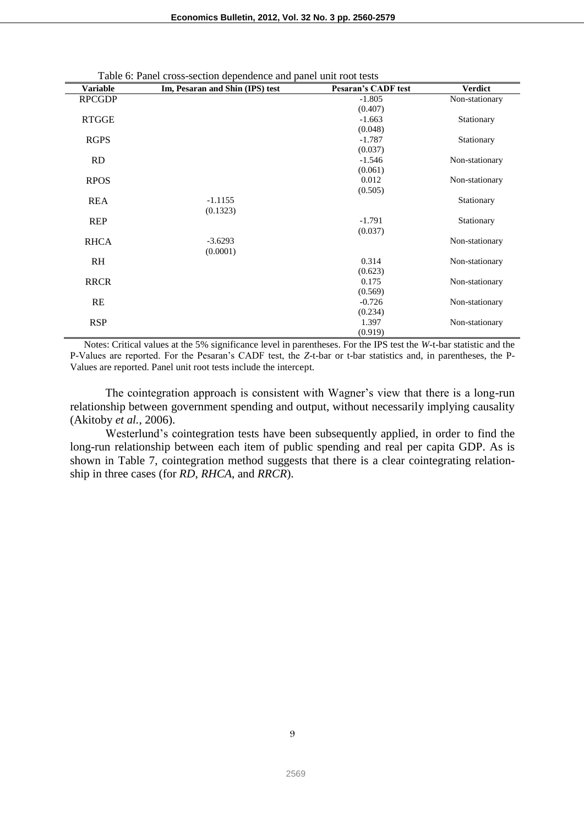| <b>Variable</b> | Im, Pesaran and Shin (IPS) test | <b>Pesaran's CADF test</b> | <b>Verdict</b> |
|-----------------|---------------------------------|----------------------------|----------------|
| <b>RPCGDP</b>   |                                 | $-1.805$                   | Non-stationary |
|                 |                                 | (0.407)                    |                |
| <b>RTGGE</b>    |                                 | $-1.663$                   | Stationary     |
|                 |                                 | (0.048)                    |                |
| <b>RGPS</b>     |                                 | $-1.787$                   | Stationary     |
|                 |                                 | (0.037)                    |                |
| <b>RD</b>       |                                 | $-1.546$                   | Non-stationary |
|                 |                                 | (0.061)                    |                |
| <b>RPOS</b>     |                                 | 0.012                      | Non-stationary |
|                 |                                 | (0.505)                    |                |
| <b>REA</b>      | $-1.1155$                       |                            | Stationary     |
|                 | (0.1323)                        |                            |                |
| <b>REP</b>      |                                 | $-1.791$                   | Stationary     |
|                 |                                 | (0.037)                    |                |
| <b>RHCA</b>     | $-3.6293$                       |                            | Non-stationary |
|                 | (0.0001)                        |                            |                |
| RH              |                                 | 0.314                      | Non-stationary |
|                 |                                 | (0.623)                    |                |
| <b>RRCR</b>     |                                 | 0.175                      | Non-stationary |
|                 |                                 | (0.569)                    |                |
| RE              |                                 | $-0.726$                   | Non-stationary |
|                 |                                 | (0.234)                    |                |
| <b>RSP</b>      |                                 | 1.397                      | Non-stationary |
|                 |                                 | (0.919)                    |                |

Table 6: Panel cross-section dependence and panel unit root tests

Notes: Critical values at the 5% significance level in parentheses. For the IPS test the *W*-t-bar statistic and the P-Values are reported. For the Pesaran's CADF test, the *Z*-t-bar or t-bar statistics and, in parentheses, the P-Values are reported. Panel unit root tests include the intercept.

The cointegration approach is consistent with Wagner's view that there is a long-run relationship between government spending and output, without necessarily implying causality (Akitoby *et al.*, 2006).

Westerlund's cointegration tests have been subsequently applied, in order to find the long-run relationship between each item of public spending and real per capita GDP. As is shown in Table 7, cointegration method suggests that there is a clear cointegrating relationship in three cases (for *RD*, *RHCA*, and *RRCR*).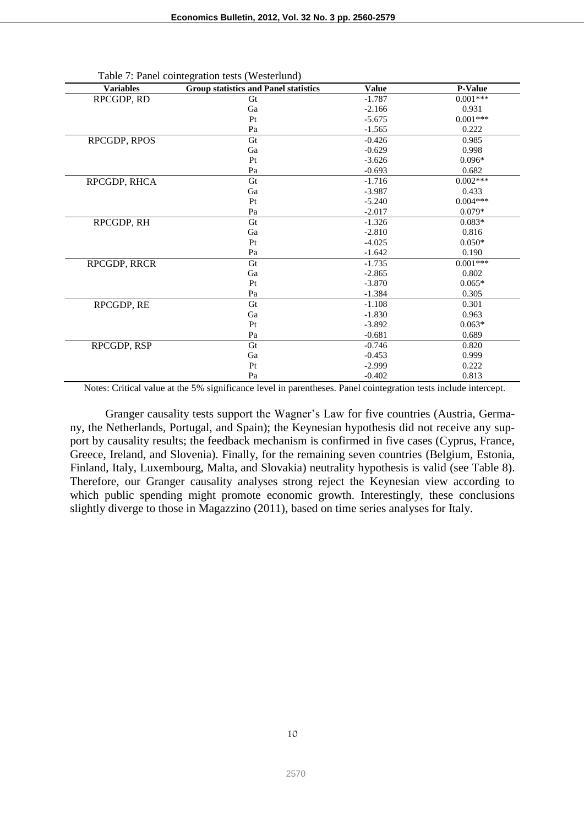| <b>Variables</b> | <b>Group statistics and Panel statistics</b> | <b>Value</b> | <b>P-Value</b> |
|------------------|----------------------------------------------|--------------|----------------|
| RPCGDP, RD       | Gt                                           | $-1.787$     | $0.001***$     |
|                  | Ga                                           | $-2.166$     | 0.931          |
|                  | Pt                                           | $-5.675$     | $0.001***$     |
|                  | Pa                                           | $-1.565$     | 0.222          |
| RPCGDP, RPOS     | Gt                                           | $-0.426$     | 0.985          |
|                  | Ga                                           | $-0.629$     | 0.998          |
|                  | Pt                                           | $-3.626$     | $0.096*$       |
|                  | Pa                                           | $-0.693$     | 0.682          |
| RPCGDP, RHCA     | Gt                                           | $-1.716$     | $0.002***$     |
|                  | Ga                                           | $-3.987$     | 0.433          |
|                  | Pt                                           | $-5.240$     | $0.004***$     |
|                  | Pa                                           | $-2.017$     | $0.079*$       |
| RPCGDP, RH       | Gt                                           | $-1.326$     | $0.083*$       |
|                  | Ga                                           | $-2.810$     | 0.816          |
|                  | Pt                                           | $-4.025$     | $0.050*$       |
|                  | Pa                                           | $-1.642$     | 0.190          |
| RPCGDP, RRCR     | Gt                                           | $-1.735$     | $0.001***$     |
|                  | Ga                                           | $-2.865$     | 0.802          |
|                  | Pt                                           | $-3.870$     | $0.065*$       |
|                  | Pa                                           | $-1.384$     | 0.305          |
| RPCGDP, RE       | Gt                                           | $-1.108$     | 0.301          |
|                  | Ga                                           | $-1.830$     | 0.963          |
|                  | Pt                                           | $-3.892$     | $0.063*$       |
|                  | Pa                                           | $-0.681$     | 0.689          |
| RPCGDP, RSP      | Gt                                           | $-0.746$     | 0.820          |
|                  | Ga                                           | $-0.453$     | 0.999          |
|                  | Pt                                           | $-2.999$     | 0.222          |
|                  | Pa                                           | $-0.402$     | 0.813          |

Table 7: Panel cointegration tests (Westerlund)

Notes: Critical value at the 5% significance level in parentheses. Panel cointegration tests include intercept.

Granger causality tests support the Wagner's Law for five countries (Austria, Germany, the Netherlands, Portugal, and Spain); the Keynesian hypothesis did not receive any support by causality results; the feedback mechanism is confirmed in five cases (Cyprus, France, Greece, Ireland, and Slovenia). Finally, for the remaining seven countries (Belgium, Estonia, Finland, Italy, Luxembourg, Malta, and Slovakia) neutrality hypothesis is valid (see Table 8). Therefore, our Granger causality analyses strong reject the Keynesian view according to which public spending might promote economic growth. Interestingly, these conclusions slightly diverge to those in Magazzino (2011), based on time series analyses for Italy.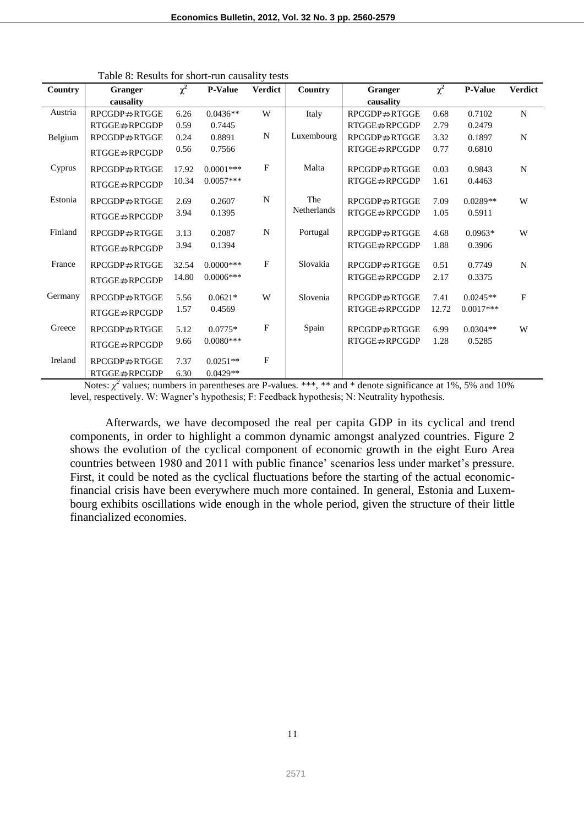| Country | Granger                     | $\chi^2$ | <b>P-Value</b> | <b>Verdict</b> | Country            | <b>Granger</b>              | $\chi^2$ | <b>P-Value</b> | <b>Verdict</b> |
|---------|-----------------------------|----------|----------------|----------------|--------------------|-----------------------------|----------|----------------|----------------|
|         | causality                   |          |                |                |                    | causality                   |          |                |                |
| Austria | RPCGDP⇒RTGGE                | 6.26     | $0.0436**$     | W              | Italy              | RPCGDP⇒RTGGE                | 0.68     | 0.7102         | $\mathbf N$    |
|         | $RTGGE \nRightarrow RPCGDP$ | 0.59     | 0.7445         |                |                    | $RTGGE \nRightarrow RPCGDP$ | 2.79     | 0.2479         |                |
| Belgium | $RPCGDP \nRightarrow RTGGE$ | 0.24     | 0.8891         | N              | Luxembourg         | $RPCGDP \nRightarrow RTGGE$ | 3.32     | 0.1897         | N              |
|         | RTGGE⇒RPCGDP                | 0.56     | 0.7566         |                |                    | $RTGGE \nRightarrow RPCGDP$ | 0.77     | 0.6810         |                |
| Cyprus  | $RPCGDP \nRightarrow RTGGE$ | 17.92    | $0.0001$ ***   | F              | Malta              | $RPCGDP \nRightarrow RTGGE$ | 0.03     | 0.9843         | $\mathbf N$    |
|         | $RTGGE \nRightarrow RPCGDP$ | 10.34    | $0.0057***$    |                |                    | $RTGGE \nRightarrow RPCGDP$ | 1.61     | 0.4463         |                |
| Estonia | $RPCGDP \nRightarrow RTGGE$ | 2.69     | 0.2607         | N              | The                | $RPCGDP \nRightarrow RTGGE$ | 7.09     | $0.0289**$     | W              |
|         | $RTGGE \nRightarrow RPCGDP$ | 3.94     | 0.1395         |                | <b>Netherlands</b> | $RTGGE \nRightarrow RPCGDP$ | 1.05     | 0.5911         |                |
|         |                             |          |                |                |                    |                             |          |                |                |
| Finland | $RPCGDP \nRightarrow RTGGE$ | 3.13     | 0.2087         | N              | Portugal           | $RPCGDP \nRightarrow RTGGE$ | 4.68     | $0.0963*$      | W              |
|         | $RTGGE \nRightarrow RPCGDP$ | 3.94     | 0.1394         |                |                    | $RTGGE \nRightarrow RPCGDP$ | 1.88     | 0.3906         |                |
| France  | $RPCGDP \nRightarrow RTGGE$ | 32.54    | $0.0000$ ***   | $\mathbf{F}$   | Slovakia           | $RPCGDP \nRightarrow RTGGE$ | 0.51     | 0.7749         | $\mathbf N$    |
|         | $RTGGE \nRightarrow RPCGDP$ | 14.80    | $0.0006***$    |                |                    | $RTGGE \nRightarrow RPCGDP$ | 2.17     | 0.3375         |                |
| Germany | $RPCGDP \nRightarrow RTGGE$ | 5.56     | $0.0621*$      | W              | Slovenia           | $RPCGDP \nRightarrow RTGGE$ | 7.41     | $0.0245**$     | F              |
|         | $RTGGE \nRightarrow RPCGDP$ | 1.57     | 0.4569         |                |                    | $RTGGE \nRightarrow RPCGDP$ | 12.72    | $0.0017***$    |                |
| Greece  | $RPCGDP \nRightarrow RTGGE$ | 5.12     | $0.0775*$      | F              | Spain              | $RPCGDP \nRightarrow RTGGE$ | 6.99     | $0.0304**$     | W              |
|         | $RTGGE \nRightarrow RPCGDP$ | 9.66     | $0.0080***$    |                |                    | $RTGGE \nRightarrow RPCGDP$ | 1.28     | 0.5285         |                |
| Ireland | $RPCGDP \nRightarrow RTGGE$ | 7.37     | $0.0251**$     | $\overline{F}$ |                    |                             |          |                |                |
|         | $RTGGE \nRightarrow RPCGDP$ | 6.30     | $0.0429**$     |                |                    |                             |          |                |                |

Table 8: Results for short-run causality tests

Notes:  $\chi^2$  values; numbers in parentheses are P-values. \*\*\*, \*\* and \* denote significance at 1%, 5% and 10% level, respectively. W: Wagner's hypothesis; F: Feedback hypothesis; N: Neutrality hypothesis.

Afterwards, we have decomposed the real per capita GDP in its cyclical and trend components, in order to highlight a common dynamic amongst analyzed countries. Figure 2 shows the evolution of the cyclical component of economic growth in the eight Euro Area countries between 1980 and 2011 with public finance' scenarios less under market's pressure. First, it could be noted as the cyclical fluctuations before the starting of the actual economicfinancial crisis have been everywhere much more contained. In general, Estonia and Luxembourg exhibits oscillations wide enough in the whole period, given the structure of their little financialized economies.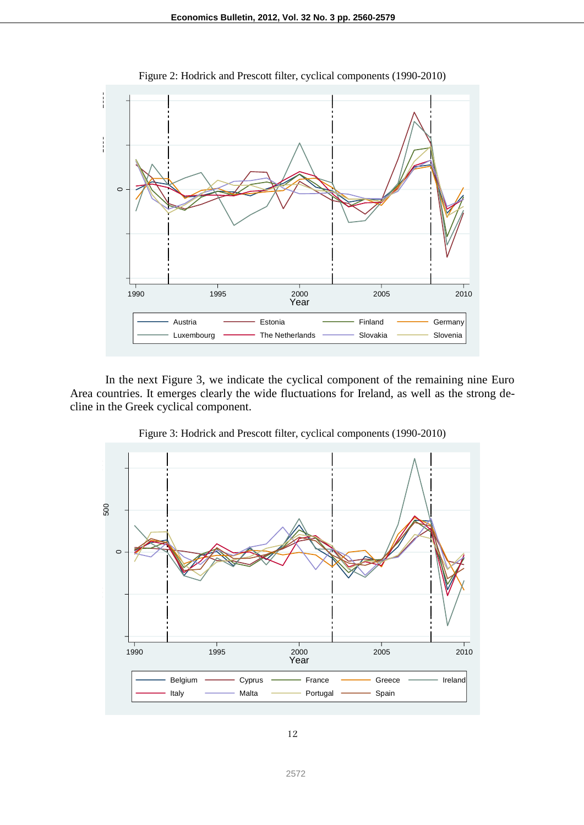

Figure 2: Hodrick and Prescott filter, cyclical components (1990-2010)

In the next Figure 3, we indicate the cyclical component of the remaining nine Euro Area countries. It emerges clearly the wide fluctuations for Ireland, as well as the strong decline in the Greek cyclical component.



Figure 3: Hodrick and Prescott filter, cyclical components (1990-2010)

2572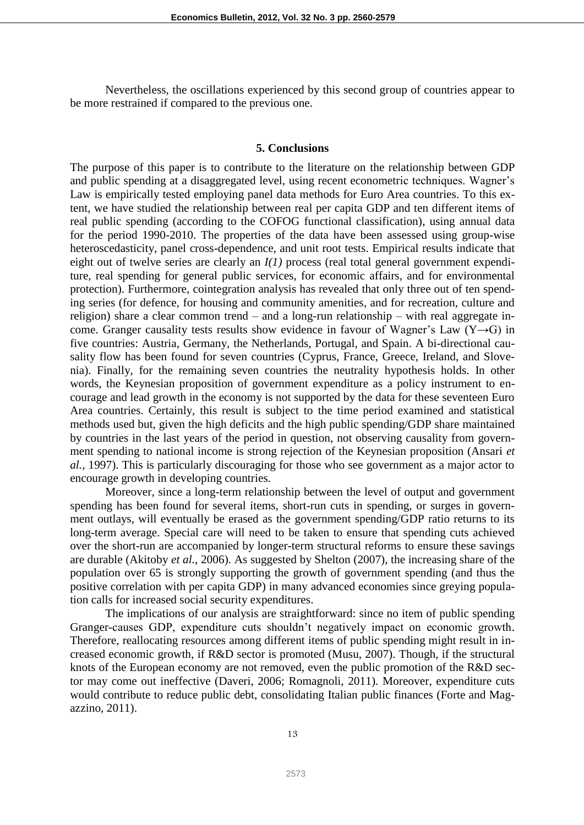Nevertheless, the oscillations experienced by this second group of countries appear to be more restrained if compared to the previous one.

#### **5. Conclusions**

The purpose of this paper is to contribute to the literature on the relationship between GDP and public spending at a disaggregated level, using recent econometric techniques. Wagner's Law is empirically tested employing panel data methods for Euro Area countries. To this extent, we have studied the relationship between real per capita GDP and ten different items of real public spending (according to the COFOG functional classification), using annual data for the period 1990-2010. The properties of the data have been assessed using group-wise heteroscedasticity, panel cross-dependence, and unit root tests. Empirical results indicate that eight out of twelve series are clearly an  $I(1)$  process (real total general government expenditure, real spending for general public services, for economic affairs, and for environmental protection). Furthermore, cointegration analysis has revealed that only three out of ten spending series (for defence, for housing and community amenities, and for recreation, culture and religion) share a clear common trend – and a long-run relationship – with real aggregate income. Granger causality tests results show evidence in favour of Wagner's Law (Y→G) in five countries: Austria, Germany, the Netherlands, Portugal, and Spain. A bi-directional causality flow has been found for seven countries (Cyprus, France, Greece, Ireland, and Slovenia). Finally, for the remaining seven countries the neutrality hypothesis holds. In other words, the Keynesian proposition of government expenditure as a policy instrument to encourage and lead growth in the economy is not supported by the data for these seventeen Euro Area countries. Certainly, this result is subject to the time period examined and statistical methods used but, given the high deficits and the high public spending/GDP share maintained by countries in the last years of the period in question, not observing causality from government spending to national income is strong rejection of the Keynesian proposition (Ansari *et al.*, 1997). This is particularly discouraging for those who see government as a major actor to encourage growth in developing countries.

Moreover, since a long-term relationship between the level of output and government spending has been found for several items, short-run cuts in spending, or surges in government outlays, will eventually be erased as the government spending/GDP ratio returns to its long-term average. Special care will need to be taken to ensure that spending cuts achieved over the short-run are accompanied by longer-term structural reforms to ensure these savings are durable (Akitoby *et al.*, 2006). As suggested by Shelton (2007), the increasing share of the population over 65 is strongly supporting the growth of government spending (and thus the positive correlation with per capita GDP) in many advanced economies since greying population calls for increased social security expenditures.

The implications of our analysis are straightforward: since no item of public spending Granger-causes GDP, expenditure cuts shouldn't negatively impact on economic growth. Therefore, reallocating resources among different items of public spending might result in increased economic growth, if R&D sector is promoted (Musu, 2007). Though, if the structural knots of the European economy are not removed, even the public promotion of the R&D sector may come out ineffective (Daveri, 2006; Romagnoli, 2011). Moreover, expenditure cuts would contribute to reduce public debt, consolidating Italian public finances (Forte and Magazzino, 2011).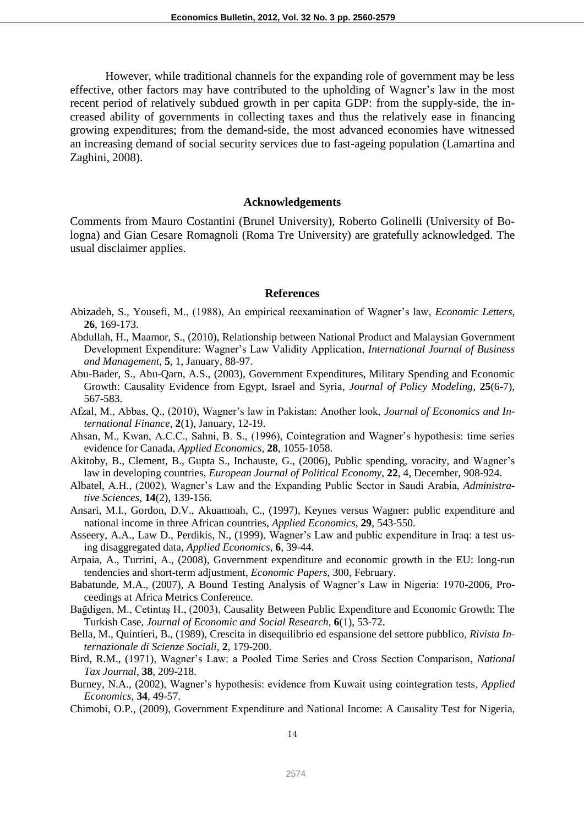However, while traditional channels for the expanding role of government may be less effective, other factors may have contributed to the upholding of Wagner's law in the most recent period of relatively subdued growth in per capita GDP: from the supply-side, the increased ability of governments in collecting taxes and thus the relatively ease in financing growing expenditures; from the demand-side, the most advanced economies have witnessed an increasing demand of social security services due to fast-ageing population (Lamartina and Zaghini, 2008).

#### **Acknowledgements**

Comments from Mauro Costantini (Brunel University), Roberto Golinelli (University of Bologna) and Gian Cesare Romagnoli (Roma Tre University) are gratefully acknowledged. The usual disclaimer applies.

#### **References**

- Abizadeh, S., Yousefi, M., (1988), An empirical reexamination of Wagner's law, *Economic Letters*, **26**, 169-173.
- Abdullah, H., Maamor, S., (2010), Relationship between National Product and Malaysian Government Development Expenditure: Wagner's Law Validity Application, *International Journal of Business and Management*, **5**, 1, January, 88-97.
- Abu-Bader, S., Abu-Qarn, A.S., (2003), Government Expenditures, Military Spending and Economic Growth: Causality Evidence from Egypt, Israel and Syria, *Journal of Policy Modeling*, **25**(6-7), 567-583.
- Afzal, M., Abbas, Q., (2010), Wagner's law in Pakistan: Another look, *Journal of Economics and International Finance*, **2**(1), January, 12-19.
- Ahsan, M., Kwan, A.C.C., Sahni, B. S., (1996), Cointegration and Wagner's hypothesis: time series evidence for Canada, *Applied Economics*, **28**, 1055-1058.
- Akitoby, B., Clement, B., Gupta S., Inchauste, G., (2006), Public spending, voracity, and Wagner's law in developing countries, *European Journal of Political Economy*, **22**, 4, December, 908-924.
- Albatel, A.H., (2002), Wagner's Law and the Expanding Public Sector in Saudi Arabia, *Administrative Sciences*, **14**(2), 139-156.
- Ansari, M.I., Gordon, D.V., Akuamoah, C., (1997), Keynes versus Wagner: public expenditure and national income in three African countries, *Applied Economics*, **29**, 543-550.
- Asseery, A.A., Law D., Perdikis, N., (1999), Wagner's Law and public expenditure in Iraq: a test using disaggregated data, *Applied Economics*, **6**, 39-44.
- Arpaia, A., Turrini, A., (2008), Government expenditure and economic growth in the EU: long-run tendencies and short-term adjustment, *Economic Papers*, 300, February.
- Babatunde, M.A., (2007), A Bound Testing Analysis of Wagner's Law in Nigeria: 1970-2006, Proceedings at Africa Metrics Conference.
- Bağdigen, M., Cetintaș H., (2003), Causality Between Public Expenditure and Economic Growth: The Turkish Case, *Journal of Economic and Social Research*, **6**(1), 53-72.
- Bella, M., Quintieri, B., (1989), Crescita in disequilibrio ed espansione del settore pubblico, *Rivista Internazionale di Scienze Sociali*, **2**, 179-200.
- Bird, R.M., (1971), Wagner's Law: a Pooled Time Series and Cross Section Comparison, *National Tax Journal*, **38**, 209-218.
- Burney, N.A., (2002), Wagner's hypothesis: evidence from Kuwait using cointegration tests, *Applied Economics*, **34**, 49-57.
- Chimobi, O.P., (2009), Government Expenditure and National Income: A Causality Test for Nigeria,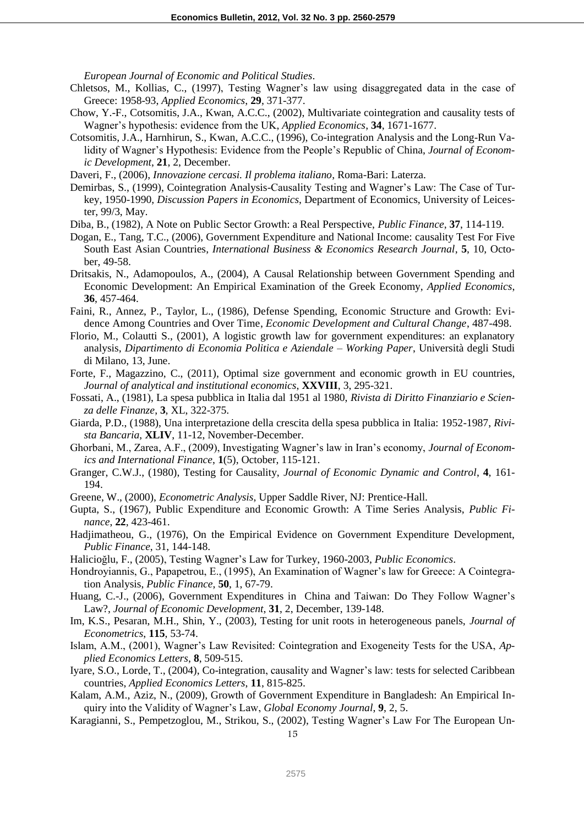*European Journal of Economic and Political Studies*.

- Chletsos, M., Kollias, C., (1997), Testing Wagner's law using disaggregated data in the case of Greece: 1958-93, *Applied Economics*, **29**, 371-377.
- Chow, Y.-F., Cotsomitis, J.A., Kwan, A.C.C., (2002), Multivariate cointegration and causality tests of Wagner's hypothesis: evidence from the UK, *Applied Economics*, **34**, 1671-1677.
- Cotsomitis, J.A., Harnhirun, S., Kwan, A.C.C., (1996), Co-integration Analysis and the Long-Run Validity of Wagner's Hypothesis: Evidence from the People's Republic of China, *Journal of Economic Development*, **21**, 2, December.
- Daveri, F., (2006), *Innovazione cercasi. Il problema italiano*, Roma-Bari: Laterza.
- Demirbas, S., (1999), Cointegration Analysis-Causality Testing and Wagner's Law: The Case of Turkey, 1950-1990, *Discussion Papers in Economics*, Department of Economics, University of Leicester, 99/3, May.
- Diba, B., (1982), A Note on Public Sector Growth: a Real Perspective, *Public Finance*, **37**, 114-119.
- Dogan, E., Tang, T.C., (2006), Government Expenditure and National Income: causality Test For Five South East Asian Countries, *International Business & Economics Research Journal*, **5**, 10, October, 49-58.
- Dritsakis, N., Adamopoulos, A., (2004), A Causal Relationship between Government Spending and Economic Development: An Empirical Examination of the Greek Economy, *Applied Economics*, **36**, 457-464.
- Faini, R., Annez, P., Taylor, L., (1986), Defense Spending, Economic Structure and Growth: Evidence Among Countries and Over Time, *Economic Development and Cultural Change*, 487-498.
- Florio, M., Colautti S., (2001), A logistic growth law for government expenditures: an explanatory analysis, *Dipartimento di Economia Politica e Aziendale – Working Paper*, Università degli Studi di Milano, 13, June.
- Forte, F., Magazzino, C., (2011), Optimal size government and economic growth in EU countries, *Journal of analytical and institutional economics*, **XXVIII**, 3, 295-321.
- Fossati, A., (1981), La spesa pubblica in Italia dal 1951 al 1980, *Rivista di Diritto Finanziario e Scienza delle Finanze*, **3**, XL, 322-375.
- Giarda, P.D., (1988), Una interpretazione della crescita della spesa pubblica in Italia: 1952-1987, *Rivista Bancaria*, **XLIV**, 11-12, November-December.
- Ghorbani, M., Zarea, A.F., (2009), Investigating Wagner's law in Iran's economy, *Journal of Economics and International Finance*, **1**(5), October, 115-121.
- Granger, C.W.J., (1980), Testing for Causality, *Journal of Economic Dynamic and Control*, **4**, 161- 194.
- Greene, W., (2000), *Econometric Analysis*, Upper Saddle River, NJ: Prentice-Hall.
- Gupta, S., (1967), Public Expenditure and Economic Growth: A Time Series Analysis, *Public Finance*, **22**, 423-461.
- Hadjimatheou, G., (1976), On the Empirical Evidence on Government Expenditure Development, *Public Finance*, 31, 144-148.
- Halicioğlu, F., (2005), Testing Wagner's Law for Turkey, 1960-2003, *Public Economics*.
- Hondroyiannis, G., Papapetrou, E., (1995), An Examination of Wagner's law for Greece: A Cointegration Analysis, *Public Finance*, **50**, 1, 67-79.
- Huang, C.-J., (2006), Government Expenditures in China and Taiwan: Do They Follow Wagner's Law?, *Journal of Economic Development*, **31**, 2, December, 139-148.
- Im, K.S., Pesaran, M.H., Shin, Y., (2003), Testing for unit roots in heterogeneous panels, *Journal of Econometrics*, **115**, 53-74.
- Islam, A.M., (2001), Wagner's Law Revisited: Cointegration and Exogeneity Tests for the USA, *Applied Economics Letters*, **8**, 509-515.
- Iyare, S.O., Lorde, T., (2004), Co-integration, causality and Wagner's law: tests for selected Caribbean countries, *Applied Economics Letters*, **11**, 815-825.
- Kalam, A.M., Aziz, N., (2009), Growth of Government Expenditure in Bangladesh: An Empirical Inquiry into the Validity of Wagner's Law, *Global Economy Journal*, **9**, 2, 5.
- Karagianni, S., Pempetzoglou, M., Strikou, S., (2002), Testing Wagner's Law For The European Un-

15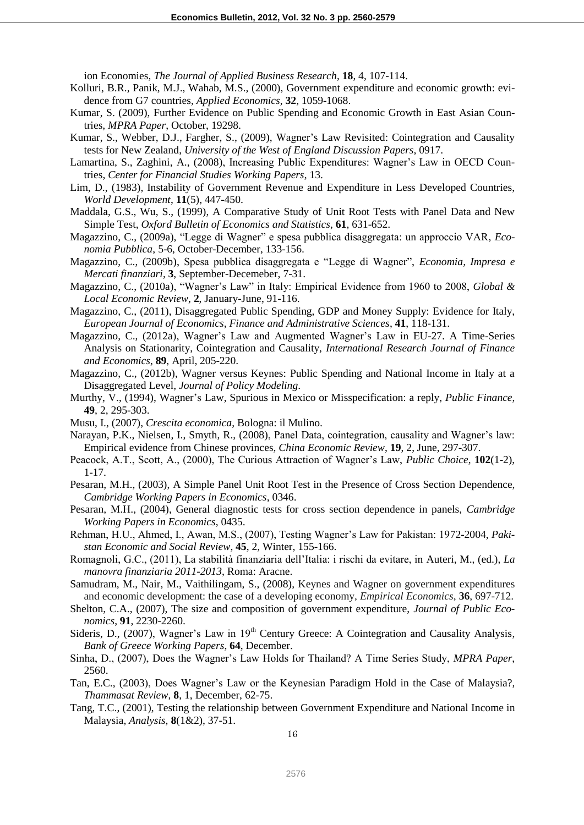ion Economies, *The Journal of Applied Business Research*, **18**, 4, 107-114.

- Kolluri, B.R., Panik, M.J., Wahab, M.S., (2000), Government expenditure and economic growth: evidence from G7 countries, *Applied Economics*, **32**, 1059-1068.
- Kumar, S. (2009), Further Evidence on Public Spending and Economic Growth in East Asian Countries, *MPRA Paper*, October, 19298.
- Kumar, S., Webber, D.J., Fargher, S., (2009), Wagner's Law Revisited: Cointegration and Causality tests for New Zealand, *University of the West of England Discussion Papers*, 0917.
- Lamartina, S., Zaghini, A., (2008), Increasing Public Expenditures: Wagner's Law in OECD Countries, *Center for Financial Studies Working Papers*, 13.
- Lim, D., (1983), Instability of Government Revenue and Expenditure in Less Developed Countries, *World Development*, **11**(5), 447-450.
- Maddala, G.S., Wu, S., (1999), A Comparative Study of Unit Root Tests with Panel Data and New Simple Test, *Oxford Bulletin of Economics and Statistics*, **61**, 631-652.
- Magazzino, C., (2009a), "Legge di Wagner" e spesa pubblica disaggregata: un approccio VAR, *Economia Pubblica*, 5-6, October-December, 133-156.
- Magazzino, C., (2009b), Spesa pubblica disaggregata e "Legge di Wagner", *Economia, Impresa e Mercati finanziari*, **3**, September-Decemeber, 7-31.
- Magazzino, C., (2010a), "Wagner's Law" in Italy: Empirical Evidence from 1960 to 2008, *Global & Local Economic Review*, **2**, January-June, 91-116.
- Magazzino, C., (2011), Disaggregated Public Spending, GDP and Money Supply: Evidence for Italy, *European Journal of Economics, Finance and Administrative Sciences*, **41**, 118-131.
- Magazzino, C., (2012a), Wagner's Law and Augmented Wagner's Law in EU-27. A Time-Series Analysis on Stationarity, Cointegration and Causality, *International Research Journal of Finance and Economics*, **89**, April, 205-220.
- Magazzino, C., (2012b), Wagner versus Keynes: Public Spending and National Income in Italy at a Disaggregated Level, *Journal of Policy Modeling*.
- Murthy, V., (1994), Wagner's Law, Spurious in Mexico or Misspecification: a reply, *Public Finance*, **49**, 2, 295-303.
- Musu, I., (2007), *Crescita economica*, Bologna: il Mulino.
- Narayan, P.K., Nielsen, I., Smyth, R., (2008), Panel Data, cointegration, causality and Wagner's law: Empirical evidence from Chinese provinces, *China Economic Review*, **19**, 2, June, 297-307.
- Peacock, A.T., Scott, A., (2000), The Curious Attraction of Wagner's Law, *Public Choice*, **102**(1-2), 1-17.
- Pesaran, M.H., (2003), A Simple Panel Unit Root Test in the Presence of Cross Section Dependence, *Cambridge Working Papers in Economics*, 0346.
- Pesaran, M.H., (2004), General diagnostic tests for cross section dependence in panels, *Cambridge Working Papers in Economics*, 0435.
- Rehman, H.U., Ahmed, I., Awan, M.S., (2007), Testing Wagner's Law for Pakistan: 1972-2004, *Pakistan Economic and Social Review*, **45**, 2, Winter, 155-166.
- Romagnoli, G.C., (2011), La stabilità finanziaria dell'Italia: i rischi da evitare, in Auteri, M., (ed.), *La manovra finanziaria 2011-2013*, Roma: Aracne.
- Samudram, M., Nair, M., Vaithilingam, S., (2008), Keynes and Wagner on government expenditures and economic development: the case of a developing economy, *Empirical Economics*, **36**, 697-712.
- Shelton, C.A., (2007), The size and composition of government expenditure, *Journal of Public Economics*, **91**, 2230-2260.
- Sideris, D., (2007), Wagner's Law in 19<sup>th</sup> Century Greece: A Cointegration and Causality Analysis, *Bank of Greece Working Papers*, **64**, December.
- Sinha, D., (2007), Does the Wagner's Law Holds for Thailand? A Time Series Study, *MPRA Paper*, 2560.
- Tan, E.C., (2003), Does Wagner's Law or the Keynesian Paradigm Hold in the Case of Malaysia?, *Thammasat Review*, **8**, 1, December, 62-75.
- Tang, T.C., (2001), Testing the relationship between Government Expenditure and National Income in Malaysia, *Analysis*, **8**(1&2), 37-51.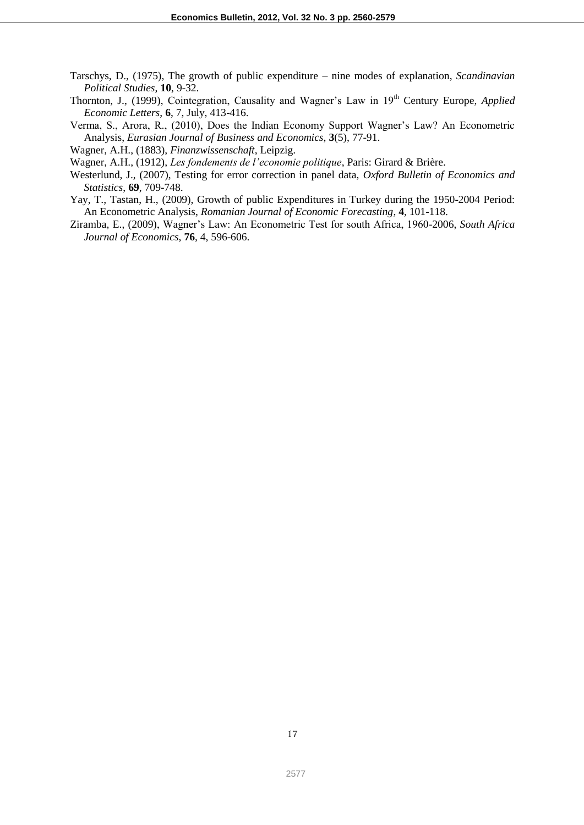- Tarschys, D., (1975), The growth of public expenditure nine modes of explanation, *Scandinavian Political Studies*, **10**, 9-32.
- Thornton, J., (1999), Cointegration, Causality and Wagner's Law in 19<sup>th</sup> Century Europe, *Applied Economic Letters*, **6**, 7, July, 413-416.
- Verma, S., Arora, R., (2010), Does the Indian Economy Support Wagner's Law? An Econometric Analysis, *Eurasian Journal of Business and Economics*, **3**(5), 77-91.
- Wagner, A.H., (1883), *Finanzwissenschaft*, Leipzig.
- Wagner, A.H., (1912), *Les fondements de l'economie politique*, Paris: Girard & Brière.
- Westerlund, J., (2007), Testing for error correction in panel data, *Oxford Bulletin of Economics and Statistics*, **69**, 709-748.
- Yay, T., Tastan, H., (2009), Growth of public Expenditures in Turkey during the 1950-2004 Period: An Econometric Analysis, *Romanian Journal of Economic Forecasting*, **4**, 101-118.
- Ziramba, E., (2009), Wagner's Law: An Econometric Test for south Africa, 1960-2006, *South Africa Journal of Economics*, **76**, 4, 596-606.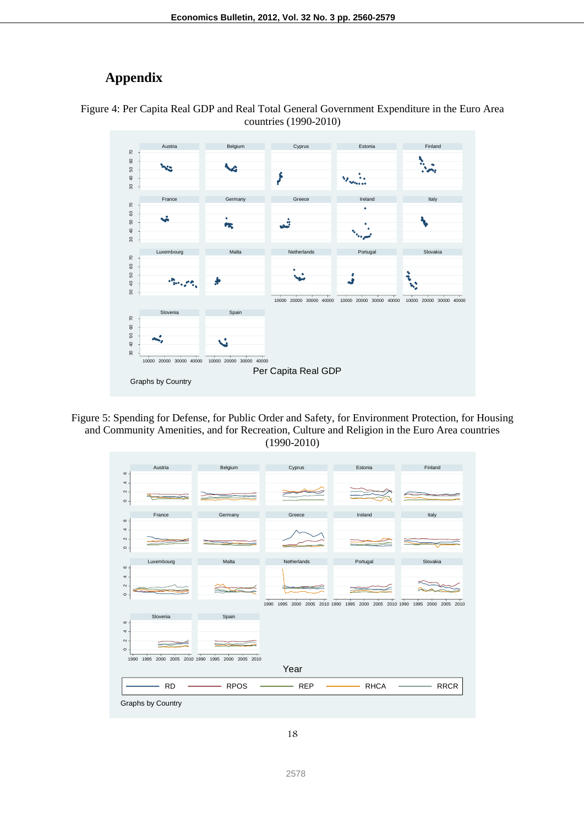# **Appendix**





Figure 5: Spending for Defense, for Public Order and Safety, for Environment Protection, for Housing and Community Amenities, and for Recreation, Culture and Religion in the Euro Area countries (1990-2010)